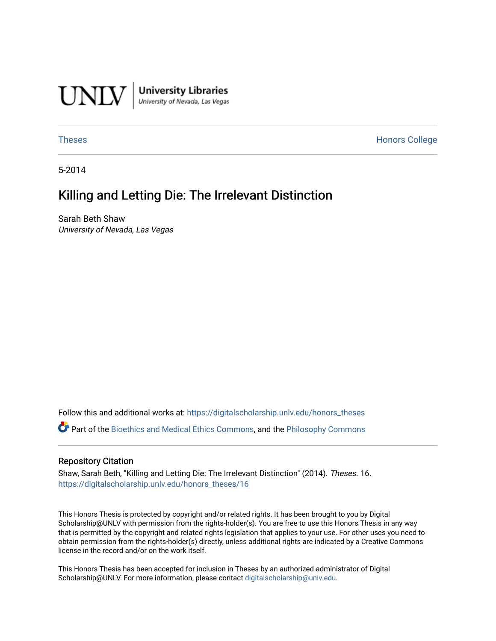

University Libraries<br>University of Nevada, Las Vegas

[Theses](https://digitalscholarship.unlv.edu/honors_theses) **Honors College** [Honors College](https://digitalscholarship.unlv.edu/honors) **Honors College** 

5-2014

# Killing and Letting Die: The Irrelevant Distinction

Sarah Beth Shaw University of Nevada, Las Vegas

Follow this and additional works at: [https://digitalscholarship.unlv.edu/honors\\_theses](https://digitalscholarship.unlv.edu/honors_theses?utm_source=digitalscholarship.unlv.edu%2Fhonors_theses%2F16&utm_medium=PDF&utm_campaign=PDFCoverPages) 

Part of the [Bioethics and Medical Ethics Commons,](http://network.bepress.com/hgg/discipline/650?utm_source=digitalscholarship.unlv.edu%2Fhonors_theses%2F16&utm_medium=PDF&utm_campaign=PDFCoverPages) and the [Philosophy Commons](http://network.bepress.com/hgg/discipline/525?utm_source=digitalscholarship.unlv.edu%2Fhonors_theses%2F16&utm_medium=PDF&utm_campaign=PDFCoverPages)

#### Repository Citation

Shaw, Sarah Beth, "Killing and Letting Die: The Irrelevant Distinction" (2014). Theses. 16. [https://digitalscholarship.unlv.edu/honors\\_theses/16](https://digitalscholarship.unlv.edu/honors_theses/16?utm_source=digitalscholarship.unlv.edu%2Fhonors_theses%2F16&utm_medium=PDF&utm_campaign=PDFCoverPages)

This Honors Thesis is protected by copyright and/or related rights. It has been brought to you by Digital Scholarship@UNLV with permission from the rights-holder(s). You are free to use this Honors Thesis in any way that is permitted by the copyright and related rights legislation that applies to your use. For other uses you need to obtain permission from the rights-holder(s) directly, unless additional rights are indicated by a Creative Commons license in the record and/or on the work itself.

This Honors Thesis has been accepted for inclusion in Theses by an authorized administrator of Digital Scholarship@UNLV. For more information, please contact [digitalscholarship@unlv.edu.](mailto:digitalscholarship@unlv.edu)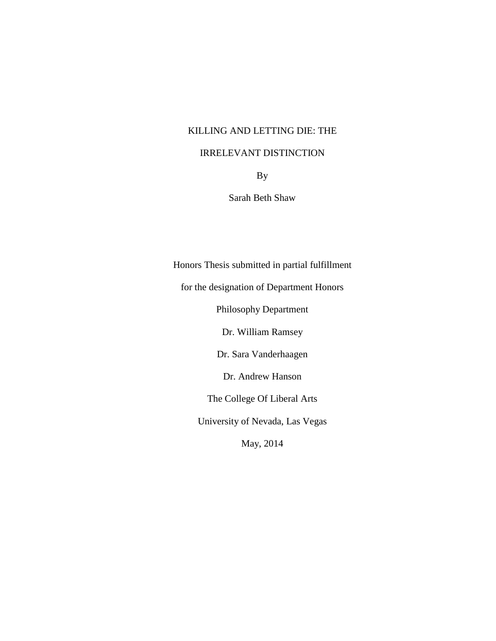# KILLING AND LETTING DIE: THE

# IRRELEVANT DISTINCTION

By

Sarah Beth Shaw

Honors Thesis submitted in partial fulfillment

for the designation of Department Honors

Philosophy Department

Dr. William Ramsey

Dr. Sara Vanderhaagen

Dr. Andrew Hanson

The College Of Liberal Arts

University of Nevada, Las Vegas

May, 2014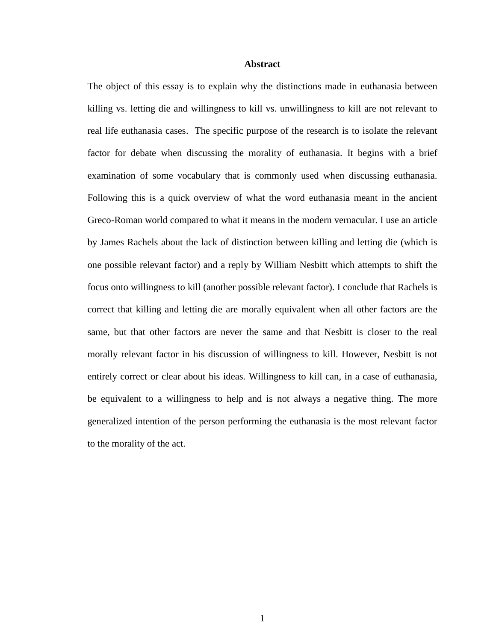#### **Abstract**

The object of this essay is to explain why the distinctions made in euthanasia between killing vs. letting die and willingness to kill vs. unwillingness to kill are not relevant to real life euthanasia cases. The specific purpose of the research is to isolate the relevant factor for debate when discussing the morality of euthanasia. It begins with a brief examination of some vocabulary that is commonly used when discussing euthanasia. Following this is a quick overview of what the word euthanasia meant in the ancient Greco-Roman world compared to what it means in the modern vernacular. I use an article by James Rachels about the lack of distinction between killing and letting die (which is one possible relevant factor) and a reply by William Nesbitt which attempts to shift the focus onto willingness to kill (another possible relevant factor). I conclude that Rachels is correct that killing and letting die are morally equivalent when all other factors are the same, but that other factors are never the same and that Nesbitt is closer to the real morally relevant factor in his discussion of willingness to kill. However, Nesbitt is not entirely correct or clear about his ideas. Willingness to kill can, in a case of euthanasia, be equivalent to a willingness to help and is not always a negative thing. The more generalized intention of the person performing the euthanasia is the most relevant factor to the morality of the act.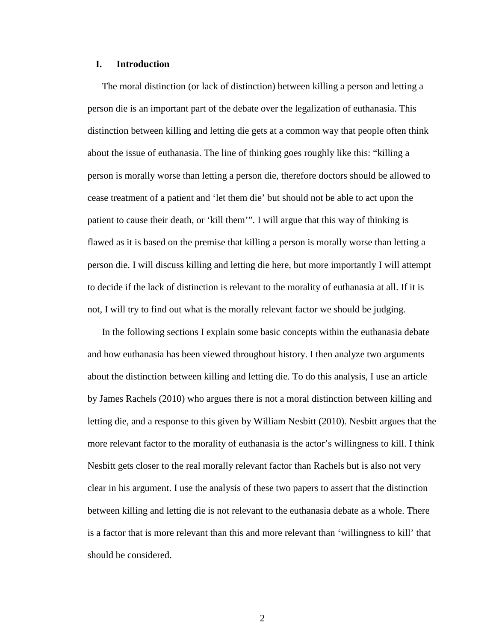#### **I. Introduction**

The moral distinction (or lack of distinction) between killing a person and letting a person die is an important part of the debate over the legalization of euthanasia. This distinction between killing and letting die gets at a common way that people often think about the issue of euthanasia. The line of thinking goes roughly like this: "killing a person is morally worse than letting a person die, therefore doctors should be allowed to cease treatment of a patient and 'let them die' but should not be able to act upon the patient to cause their death, or 'kill them'". I will argue that this way of thinking is flawed as it is based on the premise that killing a person is morally worse than letting a person die. I will discuss killing and letting die here, but more importantly I will attempt to decide if the lack of distinction is relevant to the morality of euthanasia at all. If it is not, I will try to find out what is the morally relevant factor we should be judging.

In the following sections I explain some basic concepts within the euthanasia debate and how euthanasia has been viewed throughout history. I then analyze two arguments about the distinction between killing and letting die. To do this analysis, I use an article by James Rachels (2010) who argues there is not a moral distinction between killing and letting die, and a response to this given by William Nesbitt (2010). Nesbitt argues that the more relevant factor to the morality of euthanasia is the actor's willingness to kill. I think Nesbitt gets closer to the real morally relevant factor than Rachels but is also not very clear in his argument. I use the analysis of these two papers to assert that the distinction between killing and letting die is not relevant to the euthanasia debate as a whole. There is a factor that is more relevant than this and more relevant than 'willingness to kill' that should be considered.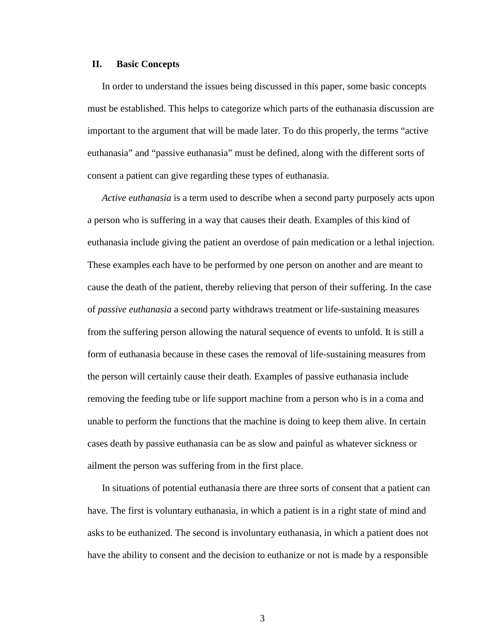#### **II. Basic Concepts**

In order to understand the issues being discussed in this paper, some basic concepts must be established. This helps to categorize which parts of the euthanasia discussion are important to the argument that will be made later. To do this properly, the terms "active euthanasia" and "passive euthanasia" must be defined, along with the different sorts of consent a patient can give regarding these types of euthanasia.

*Active euthanasia* is a term used to describe when a second party purposely acts upon a person who is suffering in a way that causes their death. Examples of this kind of euthanasia include giving the patient an overdose of pain medication or a lethal injection. These examples each have to be performed by one person on another and are meant to cause the death of the patient, thereby relieving that person of their suffering. In the case of *passive euthanasia* a second party withdraws treatment or life-sustaining measures from the suffering person allowing the natural sequence of events to unfold. It is still a form of euthanasia because in these cases the removal of life-sustaining measures from the person will certainly cause their death. Examples of passive euthanasia include removing the feeding tube or life support machine from a person who is in a coma and unable to perform the functions that the machine is doing to keep them alive. In certain cases death by passive euthanasia can be as slow and painful as whatever sickness or ailment the person was suffering from in the first place.

In situations of potential euthanasia there are three sorts of consent that a patient can have. The first is voluntary euthanasia, in which a patient is in a right state of mind and asks to be euthanized. The second is involuntary euthanasia, in which a patient does not have the ability to consent and the decision to euthanize or not is made by a responsible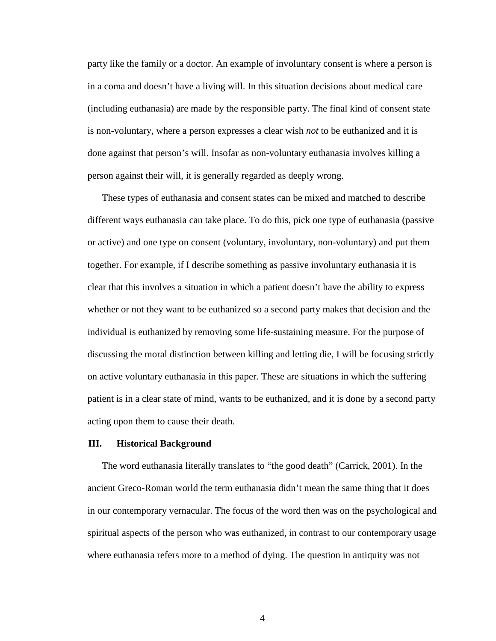party like the family or a doctor. An example of involuntary consent is where a person is in a coma and doesn't have a living will. In this situation decisions about medical care (including euthanasia) are made by the responsible party. The final kind of consent state is non-voluntary, where a person expresses a clear wish *not* to be euthanized and it is done against that person's will. Insofar as non-voluntary euthanasia involves killing a person against their will, it is generally regarded as deeply wrong.

These types of euthanasia and consent states can be mixed and matched to describe different ways euthanasia can take place. To do this, pick one type of euthanasia (passive or active) and one type on consent (voluntary, involuntary, non-voluntary) and put them together. For example, if I describe something as passive involuntary euthanasia it is clear that this involves a situation in which a patient doesn't have the ability to express whether or not they want to be euthanized so a second party makes that decision and the individual is euthanized by removing some life-sustaining measure. For the purpose of discussing the moral distinction between killing and letting die, I will be focusing strictly on active voluntary euthanasia in this paper. These are situations in which the suffering patient is in a clear state of mind, wants to be euthanized, and it is done by a second party acting upon them to cause their death.

#### **III. Historical Background**

The word euthanasia literally translates to "the good death" (Carrick, 2001). In the ancient Greco-Roman world the term euthanasia didn't mean the same thing that it does in our contemporary vernacular. The focus of the word then was on the psychological and spiritual aspects of the person who was euthanized, in contrast to our contemporary usage where euthanasia refers more to a method of dying. The question in antiquity was not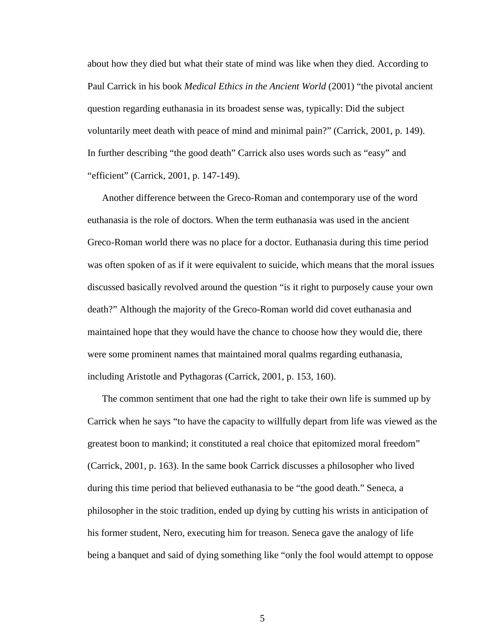about how they died but what their state of mind was like when they died. According to Paul Carrick in his book *Medical Ethics in the Ancient World* (2001) "the pivotal ancient question regarding euthanasia in its broadest sense was, typically: Did the subject voluntarily meet death with peace of mind and minimal pain?" (Carrick, 2001, p. 149). In further describing "the good death" Carrick also uses words such as "easy" and "efficient" (Carrick, 2001, p. 147-149).

Another difference between the Greco-Roman and contemporary use of the word euthanasia is the role of doctors. When the term euthanasia was used in the ancient Greco-Roman world there was no place for a doctor. Euthanasia during this time period was often spoken of as if it were equivalent to suicide, which means that the moral issues discussed basically revolved around the question "is it right to purposely cause your own death?" Although the majority of the Greco-Roman world did covet euthanasia and maintained hope that they would have the chance to choose how they would die, there were some prominent names that maintained moral qualms regarding euthanasia, including Aristotle and Pythagoras (Carrick, 2001, p. 153, 160).

The common sentiment that one had the right to take their own life is summed up by Carrick when he says "to have the capacity to willfully depart from life was viewed as the greatest boon to mankind; it constituted a real choice that epitomized moral freedom" (Carrick, 2001, p. 163). In the same book Carrick discusses a philosopher who lived during this time period that believed euthanasia to be "the good death." Seneca, a philosopher in the stoic tradition, ended up dying by cutting his wrists in anticipation of his former student, Nero, executing him for treason. Seneca gave the analogy of life being a banquet and said of dying something like "only the fool would attempt to oppose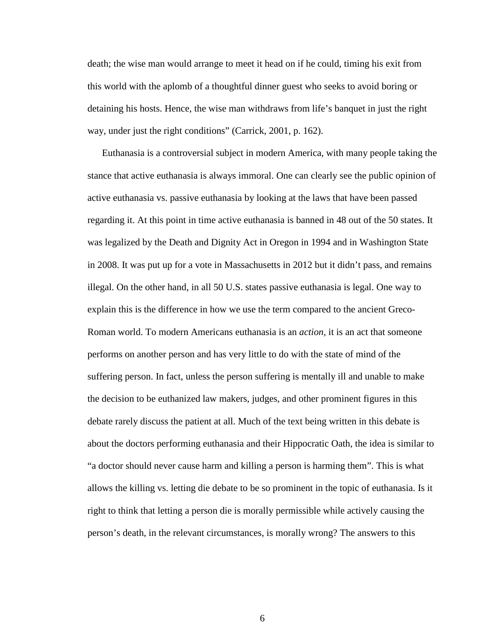death; the wise man would arrange to meet it head on if he could, timing his exit from this world with the aplomb of a thoughtful dinner guest who seeks to avoid boring or detaining his hosts. Hence, the wise man withdraws from life's banquet in just the right way, under just the right conditions" (Carrick, 2001, p. 162).

Euthanasia is a controversial subject in modern America, with many people taking the stance that active euthanasia is always immoral. One can clearly see the public opinion of active euthanasia vs. passive euthanasia by looking at the laws that have been passed regarding it. At this point in time active euthanasia is banned in 48 out of the 50 states. It was legalized by the Death and Dignity Act in Oregon in 1994 and in Washington State in 2008. It was put up for a vote in Massachusetts in 2012 but it didn't pass, and remains illegal. On the other hand, in all 50 U.S. states passive euthanasia is legal. One way to explain this is the difference in how we use the term compared to the ancient Greco-Roman world. To modern Americans euthanasia is an *action*, it is an act that someone performs on another person and has very little to do with the state of mind of the suffering person. In fact, unless the person suffering is mentally ill and unable to make the decision to be euthanized law makers, judges, and other prominent figures in this debate rarely discuss the patient at all. Much of the text being written in this debate is about the doctors performing euthanasia and their Hippocratic Oath, the idea is similar to "a doctor should never cause harm and killing a person is harming them". This is what allows the killing vs. letting die debate to be so prominent in the topic of euthanasia. Is it right to think that letting a person die is morally permissible while actively causing the person's death, in the relevant circumstances, is morally wrong? The answers to this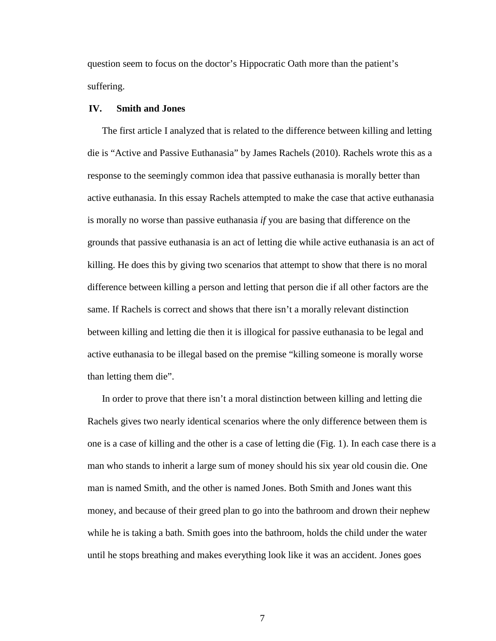question seem to focus on the doctor's Hippocratic Oath more than the patient's suffering.

## **IV. Smith and Jones**

The first article I analyzed that is related to the difference between killing and letting die is "Active and Passive Euthanasia" by James Rachels (2010). Rachels wrote this as a response to the seemingly common idea that passive euthanasia is morally better than active euthanasia. In this essay Rachels attempted to make the case that active euthanasia is morally no worse than passive euthanasia *if* you are basing that difference on the grounds that passive euthanasia is an act of letting die while active euthanasia is an act of killing. He does this by giving two scenarios that attempt to show that there is no moral difference between killing a person and letting that person die if all other factors are the same. If Rachels is correct and shows that there isn't a morally relevant distinction between killing and letting die then it is illogical for passive euthanasia to be legal and active euthanasia to be illegal based on the premise "killing someone is morally worse than letting them die".

In order to prove that there isn't a moral distinction between killing and letting die Rachels gives two nearly identical scenarios where the only difference between them is one is a case of killing and the other is a case of letting die (Fig. 1). In each case there is a man who stands to inherit a large sum of money should his six year old cousin die. One man is named Smith, and the other is named Jones. Both Smith and Jones want this money, and because of their greed plan to go into the bathroom and drown their nephew while he is taking a bath. Smith goes into the bathroom, holds the child under the water until he stops breathing and makes everything look like it was an accident. Jones goes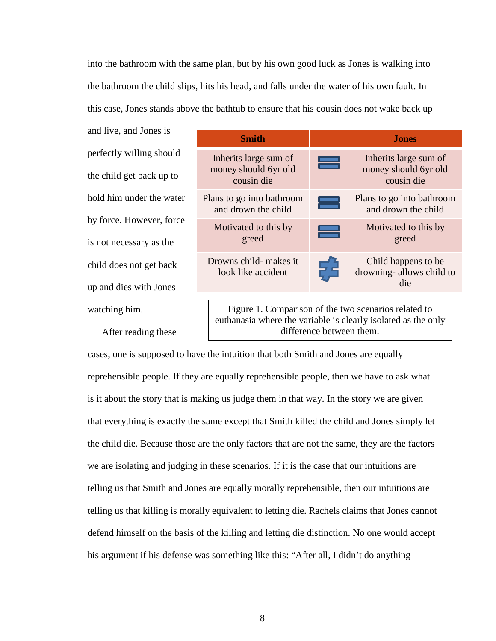into the bathroom with the same plan, but by his own good luck as Jones is walking into the bathroom the child slips, hits his head, and falls under the water of his own fault. In this case, Jones stands above the bathtub to ensure that his cousin does not wake back up

and live, and Jones is perfectly willing should the child get back up to hold him under the water by force. However, force is not necessary as the child does not get back up and dies with Jones watching him.

After reading these

| <b>Smith</b>                                                                                                                                      |  | <b>Jones</b>                                                |
|---------------------------------------------------------------------------------------------------------------------------------------------------|--|-------------------------------------------------------------|
| Inherits large sum of<br>money should 6yr old<br>cousin die                                                                                       |  | Inherits large sum of<br>money should 6yr old<br>cousin die |
| Plans to go into bathroom<br>and drown the child                                                                                                  |  | Plans to go into bathroom<br>and drown the child            |
| Motivated to this by<br>greed                                                                                                                     |  | Motivated to this by<br>greed                               |
| Drowns child- makes it<br>look like accident                                                                                                      |  | Child happens to be<br>drowning-allows child to<br>die      |
| Figure 1. Comparison of the two scenarios related to<br>euthanasia where the variable is clearly isolated as the only<br>difference between them. |  |                                                             |

cases, one is supposed to have the intuition that both Smith and Jones are equally reprehensible people. If they are equally reprehensible people, then we have to ask what is it about the story that is making us judge them in that way. In the story we are given that everything is exactly the same except that Smith killed the child and Jones simply let the child die. Because those are the only factors that are not the same, they are the factors we are isolating and judging in these scenarios. If it is the case that our intuitions are telling us that Smith and Jones are equally morally reprehensible, then our intuitions are telling us that killing is morally equivalent to letting die. Rachels claims that Jones cannot defend himself on the basis of the killing and letting die distinction. No one would accept his argument if his defense was something like this: "After all, I didn't do anything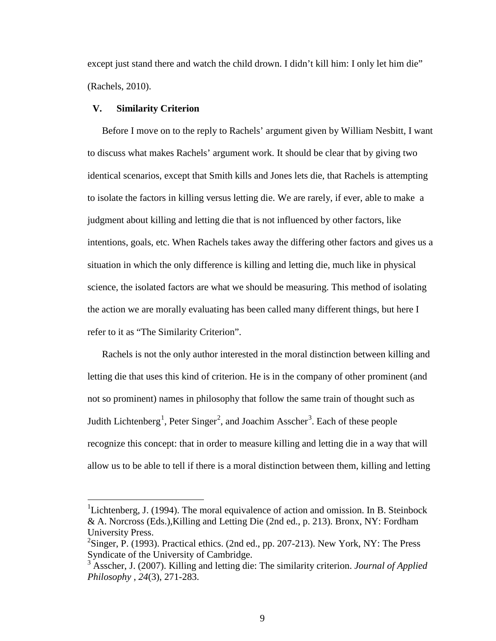except just stand there and watch the child drown. I didn't kill him: I only let him die" (Rachels, 2010).

### **V. Similarity Criterion**

Before I move on to the reply to Rachels' argument given by William Nesbitt, I want to discuss what makes Rachels' argument work. It should be clear that by giving two identical scenarios, except that Smith kills and Jones lets die, that Rachels is attempting to isolate the factors in killing versus letting die. We are rarely, if ever, able to make a judgment about killing and letting die that is not influenced by other factors, like intentions, goals, etc. When Rachels takes away the differing other factors and gives us a situation in which the only difference is killing and letting die, much like in physical science, the isolated factors are what we should be measuring. This method of isolating the action we are morally evaluating has been called many different things, but here I refer to it as "The Similarity Criterion".

Rachels is not the only author interested in the moral distinction between killing and letting die that uses this kind of criterion. He is in the company of other prominent (and not so prominent) names in philosophy that follow the same train of thought such as Judith Lichtenberg<sup>[1](#page-10-0)</sup>, Peter Singer<sup>[2](#page-10-1)</sup>, and Joachim Asscher<sup>[3](#page-10-2)</sup>. Each of these people recognize this concept: that in order to measure killing and letting die in a way that will allow us to be able to tell if there is a moral distinction between them, killing and letting

<span id="page-10-0"></span><sup>&</sup>lt;sup>1</sup>Lichtenberg, J. (1994). The moral equivalence of action and omission. In B. Steinbock & A. Norcross (Eds.),Killing and Letting Die (2nd ed., p. 213). Bronx, NY: Fordham University Press.

<span id="page-10-1"></span> $2^2$ Singer, P. (1993). Practical ethics. (2nd ed., pp. 207-213). New York, NY: The Press Syndicate of the University of Cambridge.

<span id="page-10-2"></span><sup>3</sup> Asscher, J. (2007). Killing and letting die: The similarity criterion. *Journal of Applied Philosophy* , *24*(3), 271-283.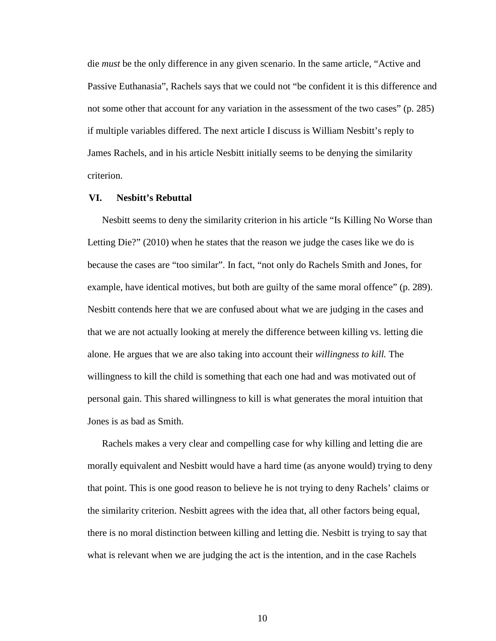die *must* be the only difference in any given scenario. In the same article, "Active and Passive Euthanasia", Rachels says that we could not "be confident it is this difference and not some other that account for any variation in the assessment of the two cases" (p. 285) if multiple variables differed. The next article I discuss is William Nesbitt's reply to James Rachels, and in his article Nesbitt initially seems to be denying the similarity criterion.

#### **VI. Nesbitt's Rebuttal**

Nesbitt seems to deny the similarity criterion in his article "Is Killing No Worse than Letting Die?" (2010) when he states that the reason we judge the cases like we do is because the cases are "too similar". In fact, "not only do Rachels Smith and Jones, for example, have identical motives, but both are guilty of the same moral offence" (p. 289). Nesbitt contends here that we are confused about what we are judging in the cases and that we are not actually looking at merely the difference between killing vs. letting die alone. He argues that we are also taking into account their *willingness to kill.* The willingness to kill the child is something that each one had and was motivated out of personal gain. This shared willingness to kill is what generates the moral intuition that Jones is as bad as Smith.

Rachels makes a very clear and compelling case for why killing and letting die are morally equivalent and Nesbitt would have a hard time (as anyone would) trying to deny that point. This is one good reason to believe he is not trying to deny Rachels' claims or the similarity criterion. Nesbitt agrees with the idea that, all other factors being equal, there is no moral distinction between killing and letting die. Nesbitt is trying to say that what is relevant when we are judging the act is the intention, and in the case Rachels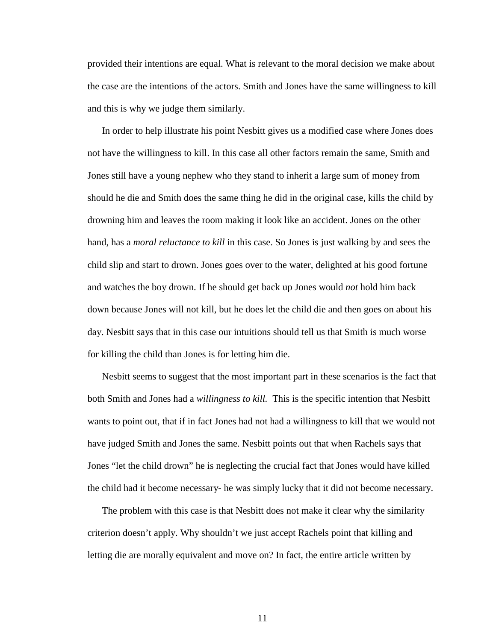provided their intentions are equal. What is relevant to the moral decision we make about the case are the intentions of the actors. Smith and Jones have the same willingness to kill and this is why we judge them similarly.

In order to help illustrate his point Nesbitt gives us a modified case where Jones does not have the willingness to kill. In this case all other factors remain the same, Smith and Jones still have a young nephew who they stand to inherit a large sum of money from should he die and Smith does the same thing he did in the original case, kills the child by drowning him and leaves the room making it look like an accident. Jones on the other hand, has a *moral reluctance to kill* in this case. So Jones is just walking by and sees the child slip and start to drown. Jones goes over to the water, delighted at his good fortune and watches the boy drown. If he should get back up Jones would *not* hold him back down because Jones will not kill, but he does let the child die and then goes on about his day. Nesbitt says that in this case our intuitions should tell us that Smith is much worse for killing the child than Jones is for letting him die.

Nesbitt seems to suggest that the most important part in these scenarios is the fact that both Smith and Jones had a *willingness to kill.* This is the specific intention that Nesbitt wants to point out, that if in fact Jones had not had a willingness to kill that we would not have judged Smith and Jones the same. Nesbitt points out that when Rachels says that Jones "let the child drown" he is neglecting the crucial fact that Jones would have killed the child had it become necessary- he was simply lucky that it did not become necessary.

The problem with this case is that Nesbitt does not make it clear why the similarity criterion doesn't apply. Why shouldn't we just accept Rachels point that killing and letting die are morally equivalent and move on? In fact, the entire article written by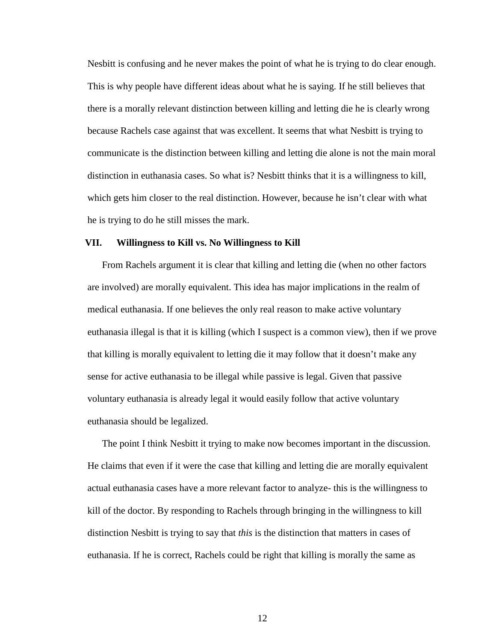Nesbitt is confusing and he never makes the point of what he is trying to do clear enough. This is why people have different ideas about what he is saying. If he still believes that there is a morally relevant distinction between killing and letting die he is clearly wrong because Rachels case against that was excellent. It seems that what Nesbitt is trying to communicate is the distinction between killing and letting die alone is not the main moral distinction in euthanasia cases. So what is? Nesbitt thinks that it is a willingness to kill, which gets him closer to the real distinction. However, because he isn't clear with what he is trying to do he still misses the mark.

#### **VII. Willingness to Kill vs. No Willingness to Kill**

From Rachels argument it is clear that killing and letting die (when no other factors are involved) are morally equivalent. This idea has major implications in the realm of medical euthanasia. If one believes the only real reason to make active voluntary euthanasia illegal is that it is killing (which I suspect is a common view), then if we prove that killing is morally equivalent to letting die it may follow that it doesn't make any sense for active euthanasia to be illegal while passive is legal. Given that passive voluntary euthanasia is already legal it would easily follow that active voluntary euthanasia should be legalized.

The point I think Nesbitt it trying to make now becomes important in the discussion. He claims that even if it were the case that killing and letting die are morally equivalent actual euthanasia cases have a more relevant factor to analyze- this is the willingness to kill of the doctor. By responding to Rachels through bringing in the willingness to kill distinction Nesbitt is trying to say that *this* is the distinction that matters in cases of euthanasia. If he is correct, Rachels could be right that killing is morally the same as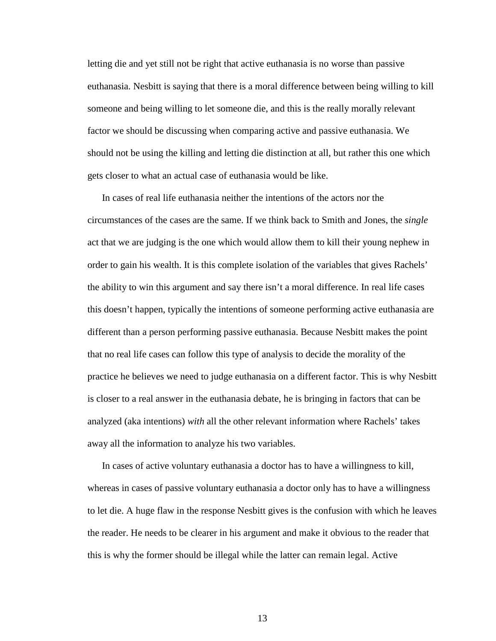letting die and yet still not be right that active euthanasia is no worse than passive euthanasia. Nesbitt is saying that there is a moral difference between being willing to kill someone and being willing to let someone die, and this is the really morally relevant factor we should be discussing when comparing active and passive euthanasia. We should not be using the killing and letting die distinction at all, but rather this one which gets closer to what an actual case of euthanasia would be like.

In cases of real life euthanasia neither the intentions of the actors nor the circumstances of the cases are the same. If we think back to Smith and Jones, the *single* act that we are judging is the one which would allow them to kill their young nephew in order to gain his wealth. It is this complete isolation of the variables that gives Rachels' the ability to win this argument and say there isn't a moral difference. In real life cases this doesn't happen, typically the intentions of someone performing active euthanasia are different than a person performing passive euthanasia. Because Nesbitt makes the point that no real life cases can follow this type of analysis to decide the morality of the practice he believes we need to judge euthanasia on a different factor. This is why Nesbitt is closer to a real answer in the euthanasia debate, he is bringing in factors that can be analyzed (aka intentions) *with* all the other relevant information where Rachels' takes away all the information to analyze his two variables.

In cases of active voluntary euthanasia a doctor has to have a willingness to kill, whereas in cases of passive voluntary euthanasia a doctor only has to have a willingness to let die. A huge flaw in the response Nesbitt gives is the confusion with which he leaves the reader. He needs to be clearer in his argument and make it obvious to the reader that this is why the former should be illegal while the latter can remain legal. Active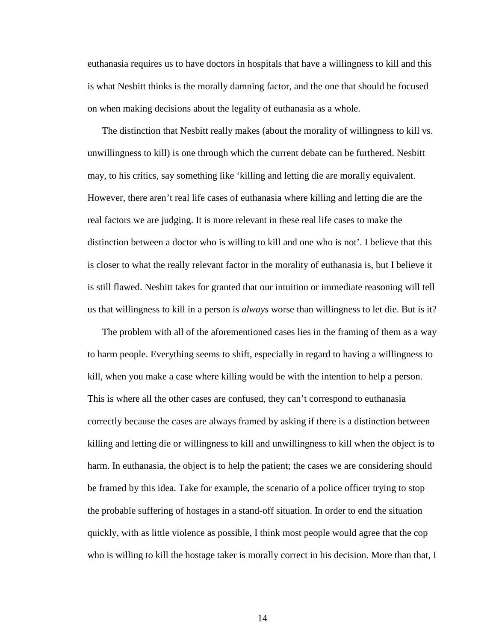euthanasia requires us to have doctors in hospitals that have a willingness to kill and this is what Nesbitt thinks is the morally damning factor, and the one that should be focused on when making decisions about the legality of euthanasia as a whole.

The distinction that Nesbitt really makes (about the morality of willingness to kill vs. unwillingness to kill) is one through which the current debate can be furthered. Nesbitt may, to his critics, say something like 'killing and letting die are morally equivalent. However, there aren't real life cases of euthanasia where killing and letting die are the real factors we are judging. It is more relevant in these real life cases to make the distinction between a doctor who is willing to kill and one who is not'. I believe that this is closer to what the really relevant factor in the morality of euthanasia is, but I believe it is still flawed. Nesbitt takes for granted that our intuition or immediate reasoning will tell us that willingness to kill in a person is *always* worse than willingness to let die. But is it?

The problem with all of the aforementioned cases lies in the framing of them as a way to harm people. Everything seems to shift, especially in regard to having a willingness to kill, when you make a case where killing would be with the intention to help a person. This is where all the other cases are confused, they can't correspond to euthanasia correctly because the cases are always framed by asking if there is a distinction between killing and letting die or willingness to kill and unwillingness to kill when the object is to harm. In euthanasia, the object is to help the patient; the cases we are considering should be framed by this idea. Take for example, the scenario of a police officer trying to stop the probable suffering of hostages in a stand-off situation. In order to end the situation quickly, with as little violence as possible, I think most people would agree that the cop who is willing to kill the hostage taker is morally correct in his decision. More than that, I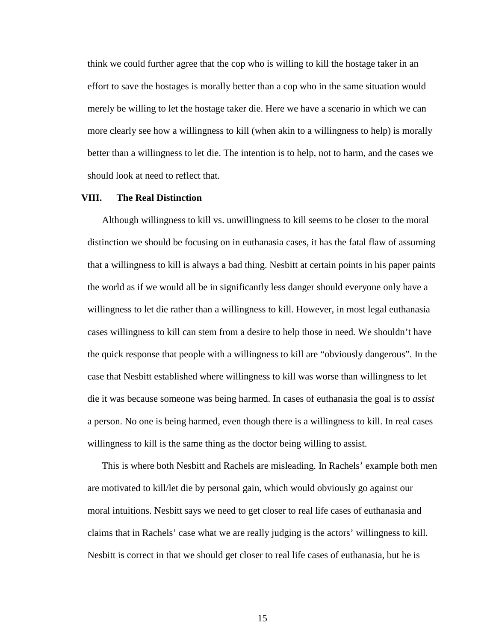think we could further agree that the cop who is willing to kill the hostage taker in an effort to save the hostages is morally better than a cop who in the same situation would merely be willing to let the hostage taker die. Here we have a scenario in which we can more clearly see how a willingness to kill (when akin to a willingness to help) is morally better than a willingness to let die. The intention is to help, not to harm, and the cases we should look at need to reflect that.

#### **VIII. The Real Distinction**

Although willingness to kill vs. unwillingness to kill seems to be closer to the moral distinction we should be focusing on in euthanasia cases, it has the fatal flaw of assuming that a willingness to kill is always a bad thing. Nesbitt at certain points in his paper paints the world as if we would all be in significantly less danger should everyone only have a willingness to let die rather than a willingness to kill. However, in most legal euthanasia cases willingness to kill can stem from a desire to help those in need*.* We shouldn't have the quick response that people with a willingness to kill are "obviously dangerous". In the case that Nesbitt established where willingness to kill was worse than willingness to let die it was because someone was being harmed. In cases of euthanasia the goal is to *assist*  a person. No one is being harmed, even though there is a willingness to kill. In real cases willingness to kill is the same thing as the doctor being willing to assist.

This is where both Nesbitt and Rachels are misleading. In Rachels' example both men are motivated to kill/let die by personal gain, which would obviously go against our moral intuitions. Nesbitt says we need to get closer to real life cases of euthanasia and claims that in Rachels' case what we are really judging is the actors' willingness to kill. Nesbitt is correct in that we should get closer to real life cases of euthanasia, but he is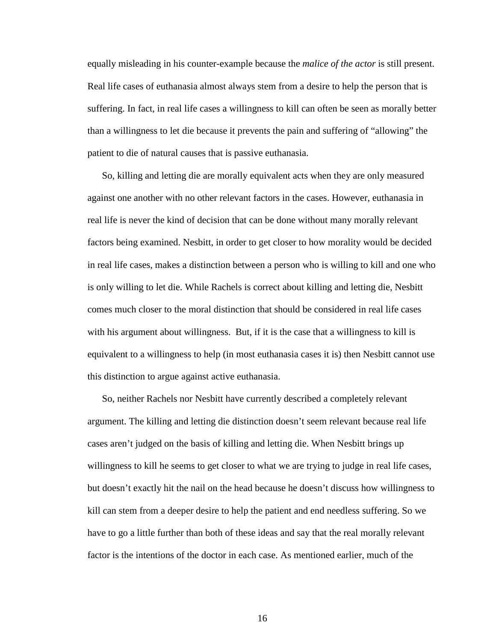equally misleading in his counter-example because the *malice of the actor* is still present. Real life cases of euthanasia almost always stem from a desire to help the person that is suffering. In fact, in real life cases a willingness to kill can often be seen as morally better than a willingness to let die because it prevents the pain and suffering of "allowing" the patient to die of natural causes that is passive euthanasia.

So, killing and letting die are morally equivalent acts when they are only measured against one another with no other relevant factors in the cases. However, euthanasia in real life is never the kind of decision that can be done without many morally relevant factors being examined. Nesbitt, in order to get closer to how morality would be decided in real life cases, makes a distinction between a person who is willing to kill and one who is only willing to let die. While Rachels is correct about killing and letting die, Nesbitt comes much closer to the moral distinction that should be considered in real life cases with his argument about willingness. But, if it is the case that a willingness to kill is equivalent to a willingness to help (in most euthanasia cases it is) then Nesbitt cannot use this distinction to argue against active euthanasia.

So, neither Rachels nor Nesbitt have currently described a completely relevant argument. The killing and letting die distinction doesn't seem relevant because real life cases aren't judged on the basis of killing and letting die. When Nesbitt brings up willingness to kill he seems to get closer to what we are trying to judge in real life cases, but doesn't exactly hit the nail on the head because he doesn't discuss how willingness to kill can stem from a deeper desire to help the patient and end needless suffering. So we have to go a little further than both of these ideas and say that the real morally relevant factor is the intentions of the doctor in each case. As mentioned earlier, much of the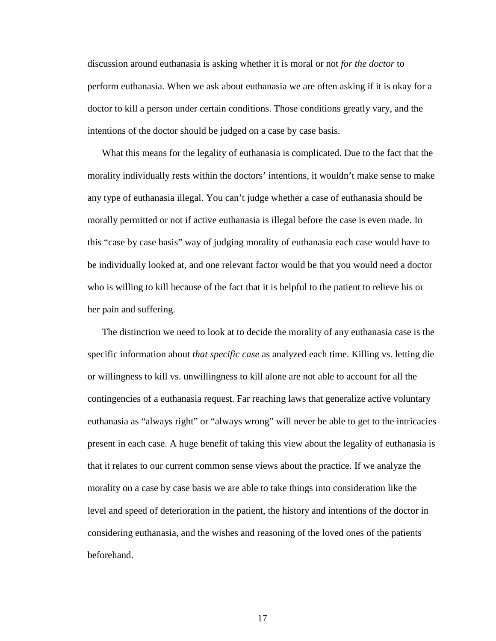discussion around euthanasia is asking whether it is moral or not *for the doctor* to perform euthanasia. When we ask about euthanasia we are often asking if it is okay for a doctor to kill a person under certain conditions. Those conditions greatly vary, and the intentions of the doctor should be judged on a case by case basis.

What this means for the legality of euthanasia is complicated. Due to the fact that the morality individually rests within the doctors' intentions, it wouldn't make sense to make any type of euthanasia illegal. You can't judge whether a case of euthanasia should be morally permitted or not if active euthanasia is illegal before the case is even made. In this "case by case basis" way of judging morality of euthanasia each case would have to be individually looked at, and one relevant factor would be that you would need a doctor who is willing to kill because of the fact that it is helpful to the patient to relieve his or her pain and suffering.

The distinction we need to look at to decide the morality of any euthanasia case is the specific information about *that specific case* as analyzed each time. Killing vs. letting die or willingness to kill vs. unwillingness to kill alone are not able to account for all the contingencies of a euthanasia request. Far reaching laws that generalize active voluntary euthanasia as "always right" or "always wrong" will never be able to get to the intricacies present in each case. A huge benefit of taking this view about the legality of euthanasia is that it relates to our current common sense views about the practice. If we analyze the morality on a case by case basis we are able to take things into consideration like the level and speed of deterioration in the patient, the history and intentions of the doctor in considering euthanasia, and the wishes and reasoning of the loved ones of the patients beforehand.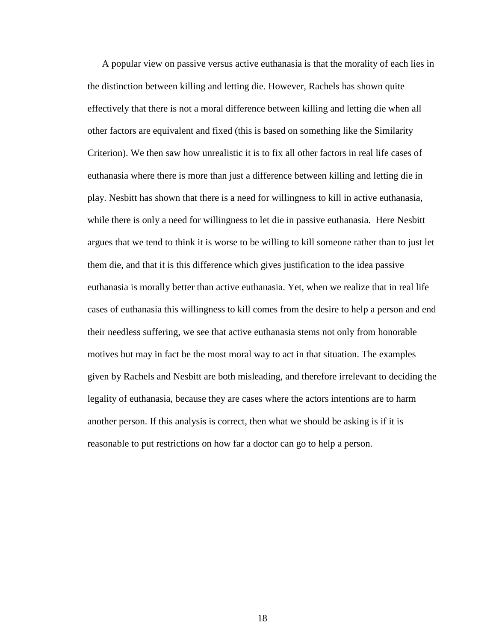A popular view on passive versus active euthanasia is that the morality of each lies in the distinction between killing and letting die. However, Rachels has shown quite effectively that there is not a moral difference between killing and letting die when all other factors are equivalent and fixed (this is based on something like the Similarity Criterion). We then saw how unrealistic it is to fix all other factors in real life cases of euthanasia where there is more than just a difference between killing and letting die in play. Nesbitt has shown that there is a need for willingness to kill in active euthanasia, while there is only a need for willingness to let die in passive euthanasia. Here Nesbitt argues that we tend to think it is worse to be willing to kill someone rather than to just let them die, and that it is this difference which gives justification to the idea passive euthanasia is morally better than active euthanasia. Yet, when we realize that in real life cases of euthanasia this willingness to kill comes from the desire to help a person and end their needless suffering, we see that active euthanasia stems not only from honorable motives but may in fact be the most moral way to act in that situation. The examples given by Rachels and Nesbitt are both misleading, and therefore irrelevant to deciding the legality of euthanasia, because they are cases where the actors intentions are to harm another person. If this analysis is correct, then what we should be asking is if it is reasonable to put restrictions on how far a doctor can go to help a person.